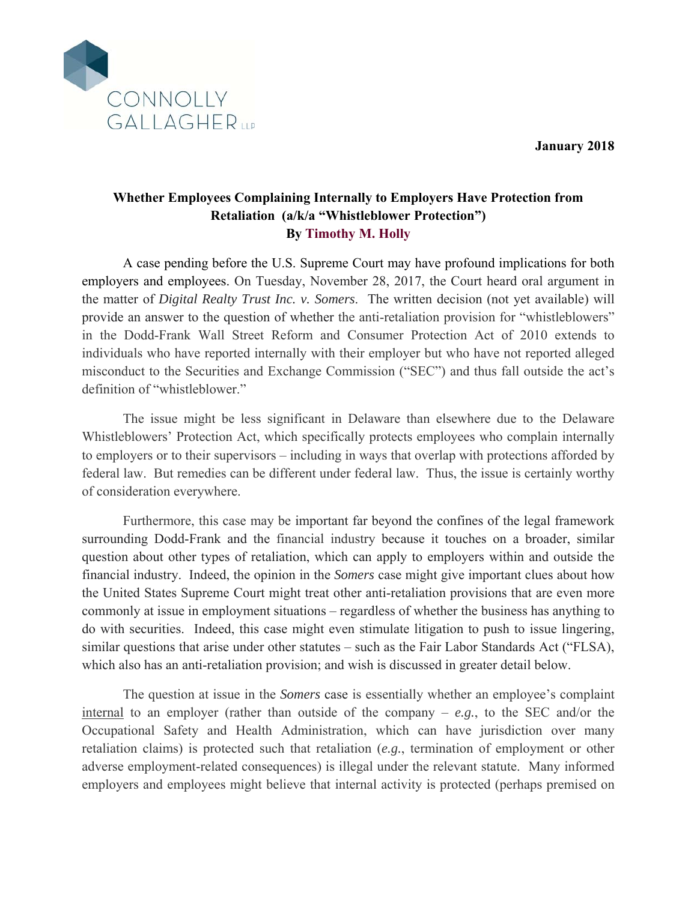**January 2018** 



## **Whether Employees Complaining Internally to Employers Have Protection from Retaliation (a/k/a "Whistleblower Protection") By Timothy M. Holly**

A case pending before the U.S. Supreme Court may have profound implications for both employers and employees. On Tuesday, November 28, 2017, the Court heard oral argument in the matter of *Digital Realty Trust Inc. v. Somers*. The written decision (not yet available) will provide an answer to the question of whether the anti-retaliation provision for "whistleblowers" in the Dodd-Frank Wall Street Reform and Consumer Protection Act of 2010 extends to individuals who have reported internally with their employer but who have not reported alleged misconduct to the Securities and Exchange Commission ("SEC") and thus fall outside the act's definition of "whistleblower."

The issue might be less significant in Delaware than elsewhere due to the Delaware Whistleblowers' Protection Act, which specifically protects employees who complain internally to employers or to their supervisors – including in ways that overlap with protections afforded by federal law. But remedies can be different under federal law. Thus, the issue is certainly worthy of consideration everywhere.

Furthermore, this case may be important far beyond the confines of the legal framework surrounding Dodd-Frank and the financial industry because it touches on a broader, similar question about other types of retaliation, which can apply to employers within and outside the financial industry. Indeed, the opinion in the *Somers* case might give important clues about how the United States Supreme Court might treat other anti-retaliation provisions that are even more commonly at issue in employment situations – regardless of whether the business has anything to do with securities. Indeed, this case might even stimulate litigation to push to issue lingering, similar questions that arise under other statutes – such as the Fair Labor Standards Act ("FLSA), which also has an anti-retaliation provision; and wish is discussed in greater detail below.

The question at issue in the *Somers* case is essentially whether an employee's complaint internal to an employer (rather than outside of the company  $-e.g.,$  to the SEC and/or the Occupational Safety and Health Administration, which can have jurisdiction over many retaliation claims) is protected such that retaliation (*e.g.*, termination of employment or other adverse employment-related consequences) is illegal under the relevant statute. Many informed employers and employees might believe that internal activity is protected (perhaps premised on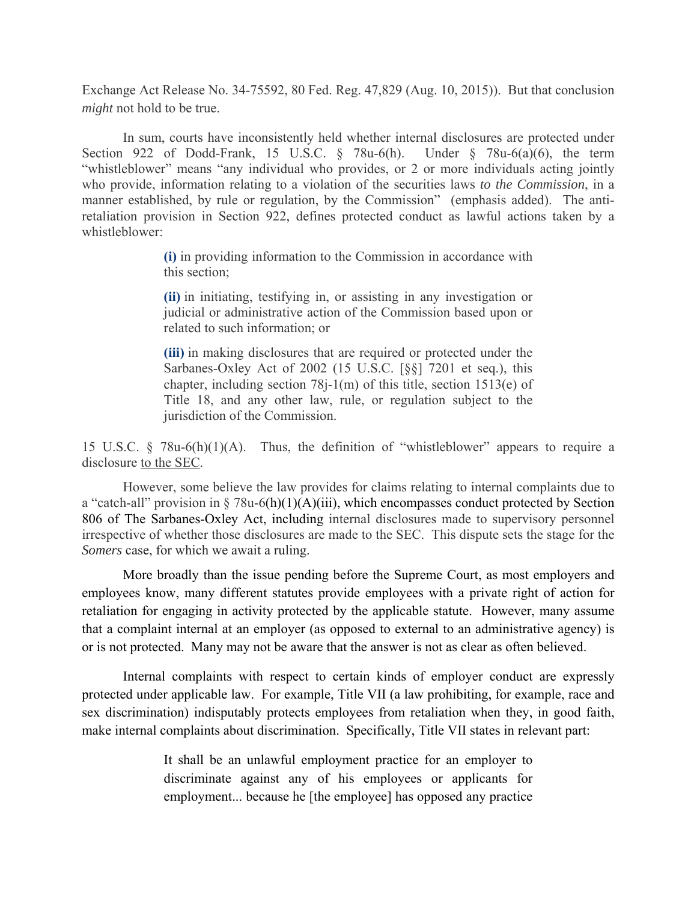Exchange Act Release No. 34-75592, 80 Fed. Reg. 47,829 (Aug. 10, 2015)). But that conclusion *might* not hold to be true.

In sum, courts have inconsistently held whether internal disclosures are protected under Section 922 of Dodd-Frank, 15 U.S.C. § 78u-6(h). Under § 78u-6(a)(6), the term "whistleblower" means "any individual who provides, or 2 or more individuals acting jointly who provide, information relating to a violation of the securities laws *to the Commission*, in a manner established, by rule or regulation, by the Commission" (emphasis added). The antiretaliation provision in Section 922, defines protected conduct as lawful actions taken by a whistleblower:

> **(i)** in providing information to the Commission in accordance with this section;

> **(ii)** in initiating, testifying in, or assisting in any investigation or judicial or administrative action of the Commission based upon or related to such information; or

> **(iii)** in making disclosures that are required or protected under the Sarbanes-Oxley Act of 2002 (15 U.S.C. [§§] 7201 et seq.), this chapter, including section 78j-1(m) of this title, section 1513(e) of Title 18, and any other law, rule, or regulation subject to the jurisdiction of the Commission.

15 U.S.C. § 78u-6(h)(1)(A). Thus, the definition of "whistleblower" appears to require a disclosure to the SEC.

However, some believe the law provides for claims relating to internal complaints due to a "catch-all" provision in  $\S 78u-6(h)(1)(A)(iii)$ , which encompasses conduct protected by Section 806 of The Sarbanes-Oxley Act, including internal disclosures made to supervisory personnel irrespective of whether those disclosures are made to the SEC. This dispute sets the stage for the *Somers* case, for which we await a ruling.

More broadly than the issue pending before the Supreme Court, as most employers and employees know, many different statutes provide employees with a private right of action for retaliation for engaging in activity protected by the applicable statute. However, many assume that a complaint internal at an employer (as opposed to external to an administrative agency) is or is not protected. Many may not be aware that the answer is not as clear as often believed.

Internal complaints with respect to certain kinds of employer conduct are expressly protected under applicable law. For example, Title VII (a law prohibiting, for example, race and sex discrimination) indisputably protects employees from retaliation when they, in good faith, make internal complaints about discrimination. Specifically, Title VII states in relevant part:

> It shall be an unlawful employment practice for an employer to discriminate against any of his employees or applicants for employment... because he [the employee] has opposed any practice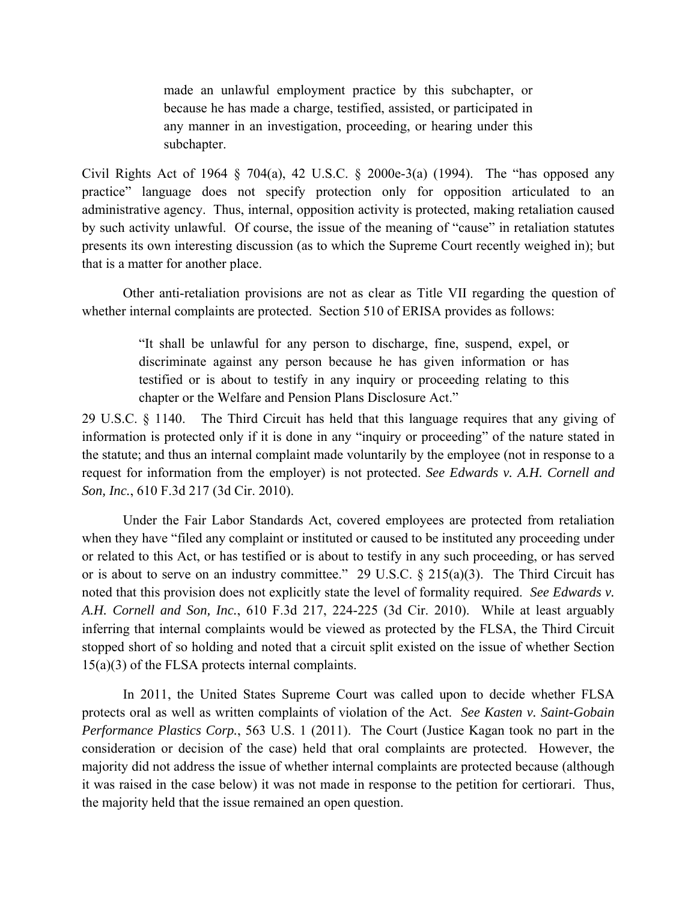made an unlawful employment practice by this subchapter, or because he has made a charge, testified, assisted, or participated in any manner in an investigation, proceeding, or hearing under this subchapter.

Civil Rights Act of 1964  $\S$  704(a), 42 U.S.C.  $\S$  2000e-3(a) (1994). The "has opposed any practice" language does not specify protection only for opposition articulated to an administrative agency. Thus, internal, opposition activity is protected, making retaliation caused by such activity unlawful. Of course, the issue of the meaning of "cause" in retaliation statutes presents its own interesting discussion (as to which the Supreme Court recently weighed in); but that is a matter for another place.

Other anti-retaliation provisions are not as clear as Title VII regarding the question of whether internal complaints are protected. Section 510 of ERISA provides as follows:

> "It shall be unlawful for any person to discharge, fine, suspend, expel, or discriminate against any person because he has given information or has testified or is about to testify in any inquiry or proceeding relating to this chapter or the Welfare and Pension Plans Disclosure Act."

29 U.S.C. § 1140. The Third Circuit has held that this language requires that any giving of information is protected only if it is done in any "inquiry or proceeding" of the nature stated in the statute; and thus an internal complaint made voluntarily by the employee (not in response to a request for information from the employer) is not protected. *See Edwards v. A.H. Cornell and Son, Inc.*, 610 F.3d 217 (3d Cir. 2010).

Under the Fair Labor Standards Act, covered employees are protected from retaliation when they have "filed any complaint or instituted or caused to be instituted any proceeding under or related to this Act, or has testified or is about to testify in any such proceeding, or has served or is about to serve on an industry committee." 29 U.S.C.  $\S$  215(a)(3). The Third Circuit has noted that this provision does not explicitly state the level of formality required. *See Edwards v. A.H. Cornell and Son, Inc.*, 610 F.3d 217, 224-225 (3d Cir. 2010). While at least arguably inferring that internal complaints would be viewed as protected by the FLSA, the Third Circuit stopped short of so holding and noted that a circuit split existed on the issue of whether Section 15(a)(3) of the FLSA protects internal complaints.

In 2011, the United States Supreme Court was called upon to decide whether FLSA protects oral as well as written complaints of violation of the Act. *See Kasten v. Saint-Gobain Performance Plastics Corp.*, 563 U.S. 1 (2011). The Court (Justice Kagan took no part in the consideration or decision of the case) held that oral complaints are protected. However, the majority did not address the issue of whether internal complaints are protected because (although it was raised in the case below) it was not made in response to the petition for certiorari. Thus, the majority held that the issue remained an open question.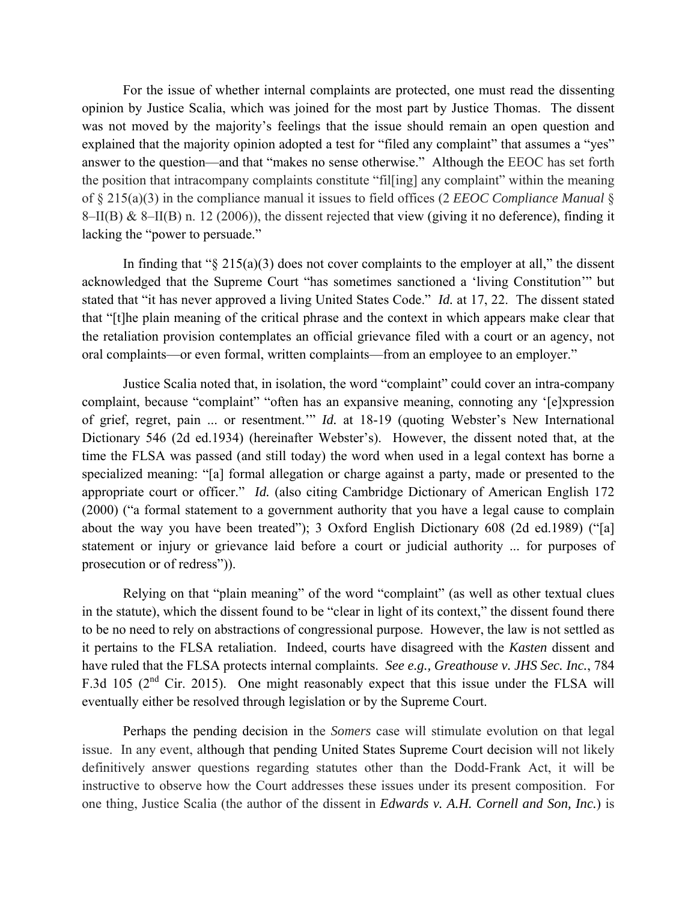For the issue of whether internal complaints are protected, one must read the dissenting opinion by Justice Scalia, which was joined for the most part by Justice Thomas. The dissent was not moved by the majority's feelings that the issue should remain an open question and explained that the majority opinion adopted a test for "filed any complaint" that assumes a "yes" answer to the question—and that "makes no sense otherwise." Although the EEOC has set forth the position that intracompany complaints constitute "fil[ing] any complaint" within the meaning of § 215(a)(3) in the compliance manual it issues to field offices (2 *EEOC Compliance Manual* § 8–II(B) & 8–II(B) n. 12 (2006)), the dissent rejected that view (giving it no deference), finding it lacking the "power to persuade."

In finding that " $\S 215(a)(3)$  does not cover complaints to the employer at all," the dissent acknowledged that the Supreme Court "has sometimes sanctioned a 'living Constitution'" but stated that "it has never approved a living United States Code." *Id.* at 17, 22. The dissent stated that "[t]he plain meaning of the critical phrase and the context in which appears make clear that the retaliation provision contemplates an official grievance filed with a court or an agency, not oral complaints—or even formal, written complaints—from an employee to an employer."

Justice Scalia noted that, in isolation, the word "complaint" could cover an intra-company complaint, because "complaint" "often has an expansive meaning, connoting any '[e]xpression of grief, regret, pain ... or resentment.'" *Id.* at 18-19 (quoting Webster's New International Dictionary 546 (2d ed.1934) (hereinafter Webster's). However, the dissent noted that, at the time the FLSA was passed (and still today) the word when used in a legal context has borne a specialized meaning: "[a] formal allegation or charge against a party, made or presented to the appropriate court or officer." *Id.* (also citing Cambridge Dictionary of American English 172 (2000) ("a formal statement to a government authority that you have a legal cause to complain about the way you have been treated"); 3 Oxford English Dictionary 608 (2d ed.1989) ("[a] statement or injury or grievance laid before a court or judicial authority ... for purposes of prosecution or of redress")).

Relying on that "plain meaning" of the word "complaint" (as well as other textual clues in the statute), which the dissent found to be "clear in light of its context," the dissent found there to be no need to rely on abstractions of congressional purpose. However, the law is not settled as it pertains to the FLSA retaliation. Indeed, courts have disagreed with the *Kasten* dissent and have ruled that the FLSA protects internal complaints. *See e.g., Greathouse v. JHS Sec. Inc.*, 784 F.3d 105 ( $2<sup>nd</sup>$  Cir. 2015). One might reasonably expect that this issue under the FLSA will eventually either be resolved through legislation or by the Supreme Court.

Perhaps the pending decision in the *Somers* case will stimulate evolution on that legal issue. In any event, although that pending United States Supreme Court decision will not likely definitively answer questions regarding statutes other than the Dodd-Frank Act, it will be instructive to observe how the Court addresses these issues under its present composition. For one thing, Justice Scalia (the author of the dissent in *Edwards v. A.H. Cornell and Son, Inc.*) is